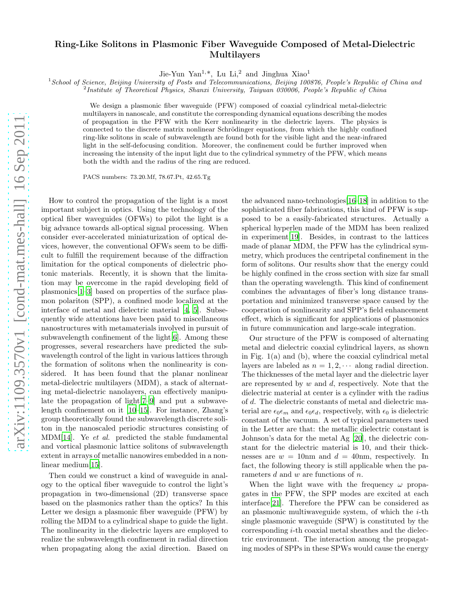## Ring-Like Solitons in Plasmonic Fiber Waveguide Composed of Metal-Dielectric Multilayers

Jie-Yun Yan<sup>1,\*</sup>, Lu Li,<sup>2</sup> and Jinghua Xiao<sup>1</sup>

<sup>1</sup> School of Science, Beijing University of Posts and Telecommunications, Beijing 100876, People's Republic of China and

<sup>2</sup> Institute of Theoretical Physics, Shanxi University, Taiyuan 030006, People's Republic of China

We design a plasmonic fiber waveguide (PFW) composed of coaxial cylindrical metal-dielectric multilayers in nanoscale, and constitute the corresponding dynamical equations describing the modes of propagation in the PFW with the Kerr nonlinearity in the dielectric layers. The physics is connected to the discrete matrix nonlinear Schrödinger equations, from which the highly confined ring-like solitons in scale of subwavelength are found both for the visible light and the near-infrared light in the self-defocusing condition. Moreover, the confinement could be further improved when increasing the intensity of the input light due to the cylindrical symmetry of the PFW, which means both the width and the radius of the ring are reduced.

PACS numbers: 73.20.Mf, 78.67.Pt, 42.65.Tg

How to control the propagation of the light is a most important subject in optics. Using the technology of the optical fiber waveguides (OFWs) to pilot the light is a big advance towards all-optical signal processing. When consider ever-accelerated miniaturization of optical devices, however, the conventional OFWs seem to be difficult to fulfill the requirement because of the diffraction limitation for the optical components of dielectric photonic materials. Recently, it is shown that the limitation may be overcome in the rapid developing field of plasmonics[\[1](#page-3-0)[–3\]](#page-3-1) based on properties of the surface plasmon polariton (SPP), a confined mode localized at the interface of metal and dielectric material [\[4,](#page-3-2) [5\]](#page-3-3). Subsequently wide attentions have been paid to miscellaneous nanostructures with metamaterials involved in pursuit of subwavelength confinement of the light[\[6](#page-3-4)]. Among these progresses, several researchers have predicted the subwavelength control of the light in various lattices through the formation of solitons when the nonlinearity is considered. It has been found that the planar nonlinear metal-dielectric multilayers (MDM), a stack of alternating metal-dielectric nanolayers, can effectively manipulate the propagation of light[\[7](#page-3-5)[–9](#page-3-6)] and put a subwavelength confinement on it [\[10](#page-3-7)[–15\]](#page-3-8). For instance, Zhang's group theoretically found the subwavelength discrete soliton in the nanoscaled periodic structures consisting of MDM[\[14\]](#page-3-9). Ye et al. predicted the stable fundamental and vortical plasmonic lattice solitons of subwavelength extent in arrays of metallic nanowires embedded in a non-linear medium<sup>[\[15](#page-3-8)]</sup>.

Then could we construct a kind of waveguide in analogy to the optical fiber waveguide to control the light's propagation in two-dimensional (2D) transverse space based on the plasmonics rather than the optics? In this Letter we design a plasmonic fiber waveguide (PFW) by rolling the MDM to a cylindrical shape to guide the light. The nonlinearity in the dielectric layers are employed to realize the subwavelength confinement in radial direction when propagating along the axial direction. Based on

the advanced nano-technologies[\[16](#page-4-0)[–18](#page-4-1)] in addition to the sophisticated fiber fabrications, this kind of PFW is supposed to be a easily-fabricated structures. Actually a spherical hyperlen made of the MDM has been realized in experiment[\[19](#page-4-2)]. Besides, in contrast to the lattices made of planar MDM, the PFW has the cylindrical symmetry, which produces the centripetal confinement in the form of solitons. Our results show that the energy could be highly confined in the cross section with size far small than the operating wavelength. This kind of confinement combines the advantages of fiber's long distance transportation and minimized transverse space caused by the cooperation of nonlinearity and SPP's field enhancement effect, which is significant for applications of plasmonics in future communication and large-scale integration.

Our structure of the PFW is composed of alternating metal and dielectric coaxial cylindrical layers, as shown in Fig. 1(a) and (b), where the coaxial cylindrical metal layers are labeled as  $n = 1, 2, \cdots$  along radial direction. The thicknesses of the metal layer and the dielectric layer are represented by  $w$  and  $d$ , respectively. Note that the dielectric material at center is a cylinder with the radius of d. The dielectric constants of metal and dielectric material are  $\epsilon_0 \epsilon_m$  and  $\epsilon_0 \epsilon_d$ , respectively, with  $\epsilon_0$  is dielectric constant of the vacuum. A set of typical parameters used in the Letter are that: the metallic dielectric constant is Johnson's data for the metal Ag [\[20\]](#page-4-3), the dielectric constant for the dielectric material is 10, and their thicknesses are  $w = 10$ nm and  $d = 40$ nm, respectively. In fact, the following theory is still applicable when the parameters  $d$  and  $w$  are functions of  $n$ .

When the light wave with the frequency  $\omega$  propagates in the PFW, the SPP modes are excited at each interface[\[21\]](#page-4-4). Therefore the PFW can be considered as an plasmonic multiwaveguide system, of which the  $i$ -th single plasmonic waveguide (SPW) is constituted by the corresponding i-th coaxial metal sheathes and the dielectric environment. The interaction among the propagating modes of SPPs in these SPWs would cause the energy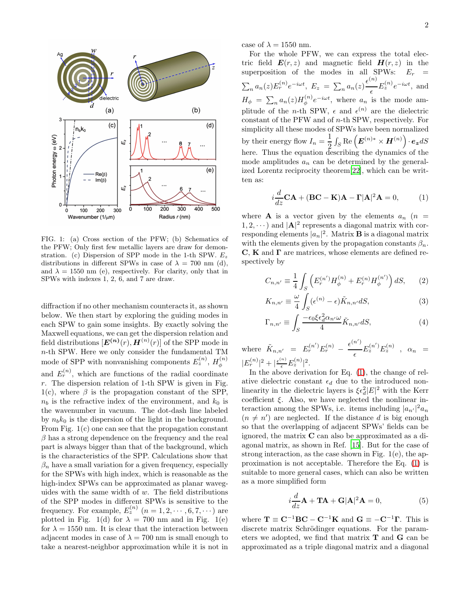

FIG. 1: (a) Cross section of the PFW; (b) Schematics of the PFW; Only first few metallic layers are draw for demonstration. (c) Dispersion of SPP mode in the 1-th SPW.  $E_z$ distributions in different SPWs in case of  $\lambda = 700$  nm (d), and  $\lambda = 1550$  nm (e), respectively. For clarity, only that in SPWs with indexes 1, 2, 6, and 7 are draw.

diffraction if no other mechanism counteracts it, as shown below. We then start by exploring the guiding modes in each SPW to gain some insights. By exactly solving the Maxwell equations, we can get the dispersion relation and field distributions  $[\boldsymbol{E^{(n)}(r)}, \boldsymbol{H^{(n)}(r)}]$  of the SPP mode in n-th SPW. Here we only consider the fundamental TM mode of SPP with nonvanishing components  $E_z^{(n)}$ ,  $H_\phi^{(n)}$ φ and  $E_r^{(n)}$ , which are functions of the radial coordinate  $r$ . The dispersion relation of 1-th SPW is given in Fig. 1(c), where  $\beta$  is the propagation constant of the SPP,  $n_b$  is the refractive index of the environment, and  $k_0$  is the wavenumber in vacuum. The dot-dash line labeled by  $n_b k_0$  is the dispersion of the light in the background. From Fig. 1(c) one can see that the propagation constant  $\beta$  has a strong dependence on the frequency and the real part is always bigger than that of the background, which is the characteristics of the SPP. Calculations show that  $\beta_n$  have a small variation for a given frequency, especially for the SPWs with high index, which is reasonable as the high-index SPWs can be approximated as planar waveguides with the same width of  $w$ . The field distributions of the SPP modes in different SPWs is sensitive to the frequency. For example,  $E_z^{(n)}$   $(n = 1, 2, \dots, 6, 7, \dots)$  are plotted in Fig. 1(d) for  $\lambda = 700$  nm and in Fig. 1(e) for  $\lambda = 1550$  nm. It is clear that the interaction between adjacent modes in case of  $\lambda = 700$  nm is small enough to take a nearest-neighbor approximation while it is not in case of  $\lambda = 1550$  nm.

For the whole PFW, we can express the total electric field  $E(r, z)$  and magnetic field  $H(r, z)$  in the superposition of the modes in all SPWs:  $E_r$  =  $\sum_n a_n(z) E_r^{(n)} e^{-i\omega t}$ ,  $E_z = \sum_n a_n(z) \frac{\epsilon^{(n)}}{\epsilon}$  $\frac{E_z^{(n)}}{e}e^{-i\omega t}$ , and  $H_{\phi} = \sum_{n} a_n(z) H_{\phi}^{(n)}$  $\psi^{(n)}_{\phi}e^{-i\omega t}$ , where  $a_n$  is the mode amplitude of the *n*-th SPW,  $\epsilon$  and  $\epsilon^{(n)}$  are the dielectric constant of the PFW and of n-th SPW, respectively. For simplicity all these modes of SPWs have been normalized by their energy flow  $I_n = \frac{1}{2}$  $\frac{1}{2} \int_S \operatorname{Re} \left( \boldsymbol{E}^{(n)*} \times \boldsymbol{H}^{(n)} \right) \cdot \boldsymbol{e_z} dS$ here. Thus the equation describing the dynamics of the mode amplitudes  $a_n$  can be determined by the generalized Lorentz reciprocity theorem[\[22\]](#page-4-5), which can be written as:

<span id="page-1-0"></span>
$$
i\frac{d}{dz}\mathbf{CA} + (\mathbf{BC} - \mathbf{K})\mathbf{A} - \mathbf{\Gamma}|\mathbf{A}|^2 \mathbf{A} = 0,
$$
 (1)

where **A** is a vector given by the elements  $a_n$  ( $n =$  $(1, 2, \dots)$  and  $|\mathbf{A}|^2$  represents a diagonal matrix with corresponding elements  $|a_n|^2$ . Matrix **B** is a diagonal matrix with the elements given by the propagation constants  $\beta_n$ .  $\mathbf{C}, \mathbf{K}$  and  $\mathbf{\Gamma}$  are matrices, whose elements are defined respectively by

$$
C_{n,n'} \equiv \frac{1}{4} \int_{S} \left( E_r^{(n')} H_{\phi}^{(n)} + E_r^{(n)} H_{\phi}^{(n')} \right) dS, \qquad (2)
$$

$$
K_{n,n'} \equiv \frac{\omega}{4} \int_{S} (\epsilon^{(n)} - \epsilon) \tilde{K}_{n,n'} dS,
$$
\n(3)

$$
\Gamma_{n,n'} \equiv \int_{S} \frac{-\epsilon_0 \xi \epsilon_d^2 \alpha_{n'} \omega}{4} \tilde{K}_{n,n'} dS,\tag{4}
$$

where  $\tilde{K}_{n,n'} = E_r^{(n')} E_r^{(n)}$  - $\epsilon^{(n')}$  $\frac{e^{n}}{\epsilon}E_z^{(n')}E_z^{(n)}$  ,  $\alpha_n =$  $|E_r^{(n)}|^2 + |\frac{\epsilon^{(n)}}{\epsilon} E_z^{(n)}|^2.$ 

In the above derivation for Eq. [\(1\)](#page-1-0), the change of relative dielectric constant  $\epsilon_d$  due to the introduced nonlinearity in the dielectric layers is  $\xi \epsilon_d^2 |E|^2$  with the Kerr coefficient  $\xi$ . Also, we have neglected the nonlinear interaction among the SPWs, i.e. items including  $|a_{n'}|^2 a_n$  $(n \neq n')$  are neglected. If the distance d is big enough so that the overlapping of adjacent SPWs' fields can be ignored, the matrix C can also be approximated as a diagonal matrix, as shown in Ref. [\[15\]](#page-3-8). But for the case of strong interaction, as the case shown in Fig. 1(e), the approximation is not acceptable. Therefore the Eq. [\(1\)](#page-1-0) is suitable to more general cases, which can also be written as a more simplified form

$$
i\frac{d}{dz}\mathbf{A} + \mathbf{T}\mathbf{A} + \mathbf{G}|\mathbf{A}|^2\mathbf{A} = 0,
$$
 (5)

where  $\mathbf{T} \equiv \mathbf{C}^{-1} \mathbf{B} \mathbf{C} - \mathbf{C}^{-1} \mathbf{K}$  and  $\mathbf{G} \equiv -\mathbf{C}^{-1} \mathbf{\Gamma}$ . This is discrete matrix Schrödinger equations. For the parameters we adopted, we find that matrix T and G can be approximated as a triple diagonal matrix and a diagonal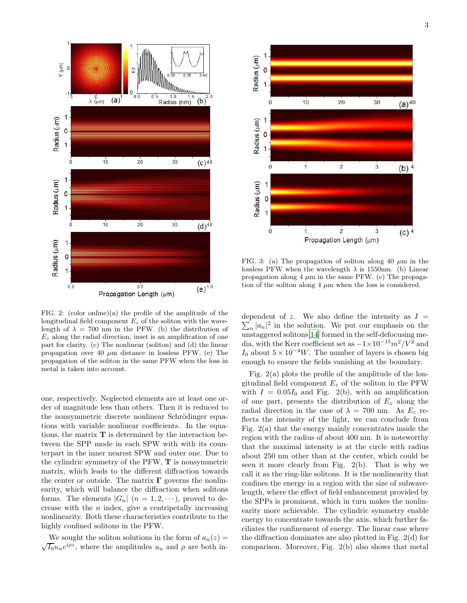

FIG. 2: (color online)(a) the profile of the amplitude of the longitudinal field component  $E_z$  of the soliton with the wavelength of  $\lambda = 700$  nm in the PFW. (b) the distribution of  $E<sub>z</sub>$  along the radial direction, inset is an amplification of one part for clarity. (c) The nonlinear (soliton) and (d) the linear propagation over 40  $\mu$ m distance in lossless PFW. (e) The propagation of the soliton in the same PFW when the loss in metal is taken into account.

one, respectively. Neglected elements are at least one order of magnitude less than others. Then it is reduced to the nonsymmetric discrete nonlinear Schrödinger equations with variable nonlinear coefficients. In the equations, the matrix  $T$  is determined by the interaction between the SPP mode in each SPW with with its counterpart in the inner nearest SPW and outer one. Due to the cylindric symmetry of the PFW, T is nonsymmetric matrix, which leads to the different diffraction towards the center or outside. The matrix  $\Gamma$  governs the nonlinearity, which will balance the diffraction when solitons forms. The elements  $|G_n|$   $(n = 1, 2, \cdots)$ , proved to decrease with the  $n$  index, give a centripetally increasing nonlinearity. Both these characteristics contribute to the highly confined solitons in the PFW.

We sought the soliton solutions in the form of  $a_n(z) =$  $\sqrt{I_0}u_ne^{i\rho z}$ , where the amplitudes  $u_n$  and  $\rho$  are both in-



FIG. 3: (a) The propagation of soliton along 40  $\mu$ m in the lossless PFW when the wavelength  $\lambda$  is 1550nm. (b) Linear propagation along  $4 \mu m$  in the same PFW. (c) The propagation of the soliton along  $4 \mu m$  when the loss is considered.

dependent of z. We also define the intensity as  $I =$  $\sum_{n} |a_n|^2$  in the solution. We put our emphasis on the unstaggered solitons[\[14\]](#page-3-9) formed in the self-defocusing media, with the Kerr coefficient set as  $-1\times10^{-15}m^2/V^2$  and I<sub>0</sub> about  $5 \times 10^{-4}$ W. The number of layers is chosen big enough to ensure the fields vanishing at the boundary.

Fig. 2(a) plots the profile of the amplitude of the longitudinal field component  $E_z$  of the soliton in the PFW with  $I = 0.05I_0$  and Fig. 2(b), with an amplification of one part, presents the distribution of  $E<sub>z</sub>$  along the radial direction in the case of  $\lambda = 700$  nm. As  $E_z$  reflects the intensity of the light, we can conclude from Fig. 2(a) that the energy mainly concentrates inside the region with the radius of about 400 nm. It is noteworthy that the maximal intensity is at the circle with radius about 250 nm other than at the center, which could be seen it more clearly from Fig. 2(b). That is why we call it as the ring-like solitons. It is the nonlinearity that confines the energy in a region with the size of subwavelength, where the effect of field enhancement provided by the SPPs is prominent, which in turn makes the nonlinearity more achievable. The cylindric symmetry enable energy to concentrate towards the axis, which further faciliates the confinement of energy. The linear case where the diffraction dominates are also plotted in Fig. 2(d) for comparison. Moreover, Fig. 2(b) also shows that metal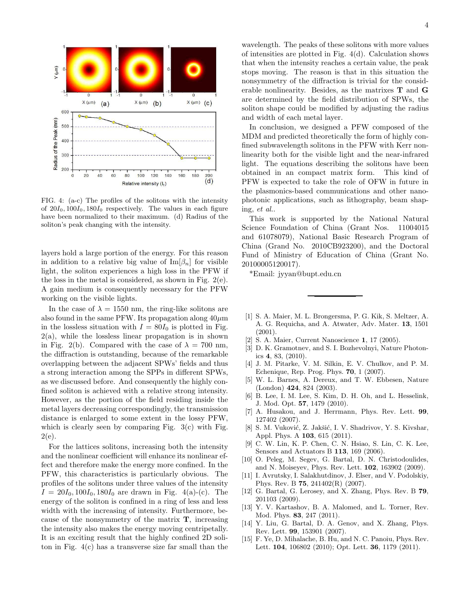

FIG. 4: (a-c) The profiles of the solitons with the intensity of  $20I_0$ ,  $100I_0$ ,  $180I_0$  respectively. The values in each figure have been normalized to their maximum. (d) Radius of the soliton's peak changing with the intensity.

layers hold a large portion of the energy. For this reason in addition to a relative big value of  $\text{Im}[\beta_n]$  for visible light, the soliton experiences a high loss in the PFW if the loss in the metal is considered, as shown in Fig. 2(e). A gain medium is consequently necessary for the PFW working on the visible lights.

In the case of  $\lambda = 1550$  nm, the ring-like solitons are also found in the same PFW. Its propagation along  $40 \mu m$ in the lossless situation with  $I = 80I_0$  is plotted in Fig.  $2(a)$ , while the lossless linear propagation is in shown in Fig. 2(b). Compared with the case of  $\lambda = 700$  nm, the diffraction is outstanding, because of the remarkable overlapping between the adjacent SPWs' fields and thus a strong interaction among the SPPs in different SPWs, as we discussed before. And consequently the highly confined soliton is achieved with a relative strong intensity. However, as the portion of the field residing inside the metal layers decreasing correspondingly, the transmission distance is enlarged to some extent in the lossy PFW, which is clearly seen by comparing Fig.  $3(c)$  with Fig.  $2(e)$ .

For the lattices solitons, increasing both the intensity and the nonlinear coefficient will enhance its nonlinear effect and therefore make the energy more confined. In the PFW, this characteristics is particularly obvious. The profiles of the solitons under three values of the intensity  $I = 20I_0, 100I_0, 180I_0$  are drawn in Fig. 4(a)-(c). The energy of the soliton is confined in a ring of less and less width with the increasing of intensity. Furthermore, because of the nonsymmetry of the matrix  $\mathbf{T}$ , increasing the intensity also makes the energy moving centripetally. It is an exciting result that the highly confined 2D soliton in Fig. 4(c) has a transverse size far small than the

wavelength. The peaks of these solitons with more values of intensities are plotted in Fig. 4(d). Calculation shows that when the intensity reaches a certain value, the peak stops moving. The reason is that in this situation the nonsymmetry of the diffraction is trivial for the considerable nonlinearity. Besides, as the matrixes T and G are determined by the field distribution of SPWs, the soliton shape could be modified by adjusting the radius and width of each metal layer.

In conclusion, we designed a PFW composed of the MDM and predicted theoretically the form of highly confined subwavelength solitons in the PFW with Kerr nonlinearity both for the visible light and the near-infrared light. The equations describing the solitons have been obtained in an compact matrix form. This kind of PFW is expected to take the role of OFW in future in the plasmonics-based communications and other nanophotonic applications, such as lithography, beam shaping, et al..

This work is supported by the National Natural Science Foundation of China (Grant Nos. 11004015 and 61078079), National Basic Research Program of China (Grand No. 2010CB923200), and the Doctoral Fund of Ministry of Education of China (Grant No. 20100005120017).

\*Email: jyyan@bupt.edu.cn

- <span id="page-3-0"></span>[1] S. A. Maier, M. L. Brongersma, P. G. Kik, S. Meltzer, A. A. G. Requicha, and A. Atwater, Adv. Mater. 13, 1501 (2001).
- [2] S. A. Maier, Current Nanoscience 1, 17 (2005).
- <span id="page-3-1"></span>D. K. Gramotnev, and S. I. Bozhevolnyi, Nature Photonics 4, 83, (2010).
- <span id="page-3-2"></span>[4] J. M. Pitarke, V. M. Silkin, E. V. Chulkov, and P. M. Echenique, Rep. Prog. Phys. 70, 1 (2007).
- <span id="page-3-3"></span>[5] W. L. Barnes, A. Dereux, and T. W. Ebbesen, Nature (London) 424, 824 (2003).
- <span id="page-3-4"></span>[6] B. Lee, I. M. Lee, S. Kim, D. H. Oh, and L. Hesselink, J. Mod. Opt. 57, 1479 (2010).
- <span id="page-3-5"></span>[7] A. Husakou, and J. Herrmann, Phys. Rev. Lett. 99, 127402 (2007).
- [8] S. M. Vuković, Z. Jakšić, I. V. Shadrivov, Y. S. Kivshar, Appl. Phys. A 103, 615 (2011).
- <span id="page-3-6"></span>[9] C. W. Lin, K. P. Chen, C. N. Hsiao, S. Lin, C. K. Lee, Sensors and Actuators B 113, 169 (2006).
- <span id="page-3-7"></span>[10] O. Peleg, M. Segev, G. Bartal, D. N. Christodoulides, and N. Moiseyev, Phys. Rev. Lett. 102, 163902 (2009).
- [11] I. Avrutsky, I. Salakhutdinov, J. Elser, and V. Podolskiy, Phys. Rev. B 75, 241402(R) (2007).
- [12] G. Bartal, G. Lerosey, and X. Zhang, Phys. Rev. B 79, 201103 (2009).
- [13] Y. V. Kartashov, B. A. Malomed, and L. Torner, Rev. Mod. Phys. 83, 247 (2011).
- <span id="page-3-9"></span>[14] Y. Liu, G. Bartal, D. A. Genov, and X. Zhang, Phys. Rev. Lett. 99, 153901 (2007).
- <span id="page-3-8"></span>[15] F. Ye, D. Mihalache, B. Hu, and N. C. Panoiu, Phys. Rev. Lett. 104, 106802 (2010); Opt. Lett. 36, 1179 (2011).